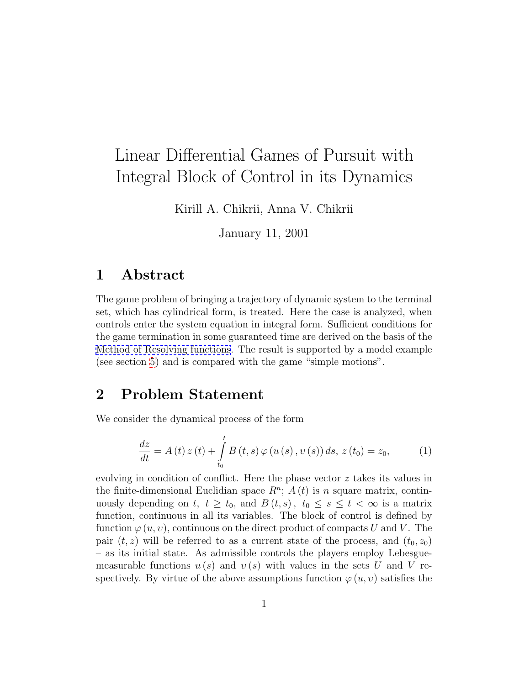# Linear Differential Games of Pursuit with Integral Block of Control in its Dynamics

Kirill A. Chikrii, Anna V. Chikrii

January 11, 2001

#### 1 Abstract

The game problem of bringing a trajectory of dynamic system to the terminal set, which has cylindrical form, is treated. Here the case is analyzed, when controls enter the system equation in integral form. Sufficient conditions for the game termination in some guaranteed time are derived on the basis of the [Method of Resolving functions.](http://www.word2tex.com/aachik.html) The result is supported by a model example (see section [5](#page-3-0)) and is compared with the game "simple motions".

#### 2 Problem Statement

We consider the dynamical process of the form

<span id="page-0-0"></span>
$$
\frac{dz}{dt} = A(t) z(t) + \int_{t_0}^{t} B(t, s) \varphi(u(s), v(s)) ds, z(t_0) = z_0,
$$
 (1)

evolving in condition of conflict. Here the phase vector z takes its values in the finite-dimensional Euclidian space  $R^n$ ;  $A(t)$  is n square matrix, continuously depending on t,  $t \geq t_0$ , and  $B(t, s)$ ,  $t_0 \leq s \leq t < \infty$  is a matrix function, continuous in all its variables. The block of control is defined by function  $\varphi(u, v)$ , continuous on the direct product of compacts U and V. The pair  $(t, z)$  will be referred to as a current state of the process, and  $(t_0, z_0)$ – as its initial state. As admissible controls the players employ Lebesguemeasurable functions  $u(s)$  and  $v(s)$  with values in the sets U and V respectively. By virtue of the above assumptions function  $\varphi(u, v)$  satisfies the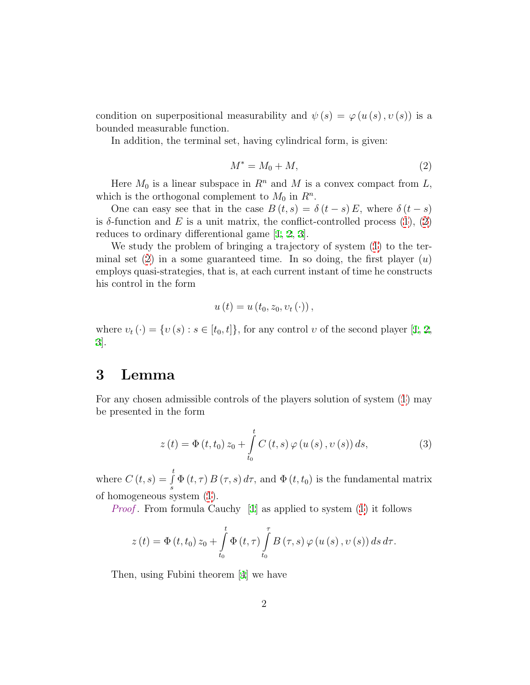condition on superpositional measurability and  $\psi(s) = \varphi(u(s), v(s))$  is a bounded measurable function.

In addition, the terminal set, having cylindrical form, is given:

<span id="page-1-0"></span>
$$
M^* = M_0 + M,\t\t(2)
$$

Here  $M_0$  is a linear subspace in  $R^n$  and M is a convex compact from L, which is the orthogonal complement to  $M_0$  in  $\mathbb{R}^n$ .

One can easy see that in the case  $B(t, s) = \delta(t - s) E$ , where  $\delta(t - s)$ isδ-function and E is a unit matrix, the conflict-controlled process  $(1), (2)$  $(1), (2)$ reduces to ordinary differentional game[[1,](#page-5-0) [2,](#page-5-1) [3\]](#page-5-2).

We study the problem of bringing a trajectory of system [\(1](#page-0-0)) to the terminal set  $(2)$  in a some guaranteed time. In so doing, the first player  $(u)$ employs quasi-strategies, that is, at each current instant of time he constructs his control in the form

$$
u\left(t\right) = u\left(t_0, z_0, v_t\left(\cdot\right)\right),
$$

where $v_t(\cdot) = \{v(s) : s \in [t_0, t]\},$  for any control v of the second player [[1,](#page-5-0) [2](#page-5-1), [3\]](#page-5-2).

#### 3 Lemma

For any chosen admissible controls of the players solution of system([1\)](#page-0-0) may be presented in the form

<span id="page-1-1"></span>
$$
z(t) = \Phi(t, t_0) z_0 + \int_{t_0}^t C(t, s) \varphi(u(s), v(s)) ds,
$$
 (3)

where  $C(t,s) = \int_0^t$  $\int_s \Phi(t, \tau) B(\tau, s) d\tau$ , and  $\Phi(t, t_0)$  is the fundamental matrix of homogeneous system [\(1](#page-0-0)).

*Proof.* From formula Cauchy  $[1]$  as applied to system  $(1)$  it follows

$$
z(t) = \Phi(t, t_0) z_0 + \int_{t_0}^t \Phi(t, \tau) \int_{t_0}^{\tau} B(\tau, s) \varphi(u(s), v(s)) ds d\tau.
$$

Then, using Fubini theorem [\[4](#page-5-3)] we have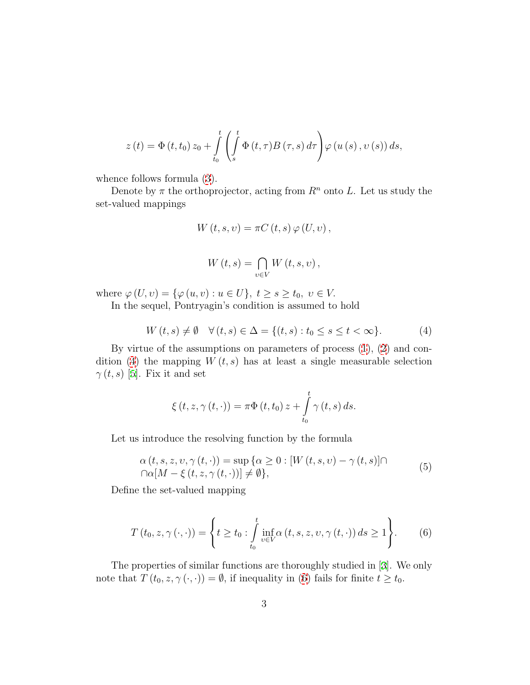$$
z(t) = \Phi(t, t_0) z_0 + \int_{t_0}^t \left( \int_s^t \Phi(t, \tau) B(\tau, s) d\tau \right) \varphi(u(s), v(s)) ds,
$$

whence follows formula([3\)](#page-1-1).

Denote by  $\pi$  the orthoprojector, acting from  $R^n$  onto L. Let us study the set-valued mappings

$$
W(t, s, v) = \pi C(t, s) \varphi (U, v),
$$

$$
W(t,s) = \bigcap_{v \in V} W(t,s,v),
$$

where  $\varphi(U, v) = {\varphi(u, v) : u \in U}, t \ge s \ge t_0, v \in V.$ 

In the sequel, Pontryagin's condition is assumed to hold

<span id="page-2-0"></span>
$$
W(t,s) \neq \emptyset \quad \forall (t,s) \in \Delta = \{(t,s) : t_0 \le s \le t < \infty\}.
$$
 (4)

By virtue of the assumptions on parameters of process [\(1\)](#page-0-0), [\(2](#page-1-0)) and con-dition([4](#page-2-0)) the mapping  $W(t, s)$  has at least a single measurable selection  $\gamma(t,s)$ [[5\]](#page-5-4). Fix it and set

$$
\xi(t, z, \gamma(t, \cdot)) = \pi \Phi(t, t_0) z + \int_{t_0}^t \gamma(t, s) ds.
$$

Let us introduce the resolving function by the formula

<span id="page-2-2"></span>
$$
\alpha(t, s, z, v, \gamma(t, \cdot)) = \sup \{ \alpha \ge 0 : [W(t, s, v) - \gamma(t, s)] \cap \Omega[M - \xi(t, z, \gamma(t, \cdot))] \neq \emptyset \},
$$
\n
$$
(5)
$$

Define the set-valued mapping

<span id="page-2-1"></span>
$$
T(t_0, z, \gamma(\cdot, \cdot)) = \left\{ t \ge t_0 : \int_{t_0}^t \inf_{v \in V} \alpha(t, s, z, v, \gamma(t, \cdot)) ds \ge 1 \right\}.
$$
 (6)

The properties of similar functions are thoroughly studied in[[3\]](#page-5-2). We only note that  $T(t_0, z, \gamma(\cdot, \cdot)) = \emptyset$ , if inequality in [\(6\)](#page-2-1) fails for finite  $t \geq t_0$ .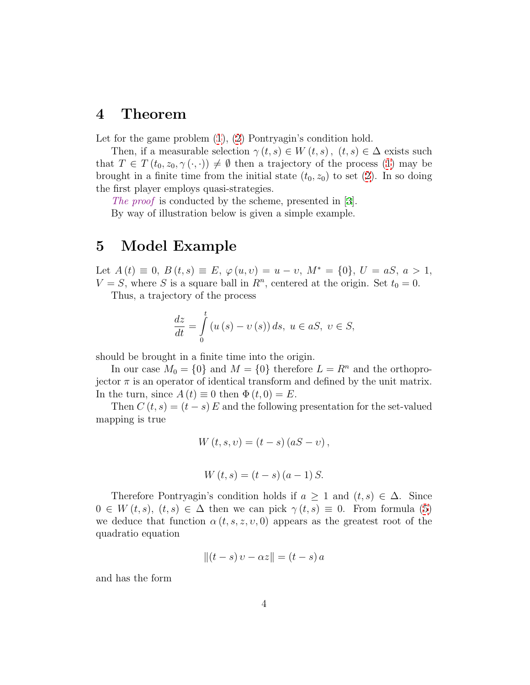### 4 Theorem

Letfor the game problem  $(1)$  $(1)$  $(1)$ ,  $(2)$  $(2)$  $(2)$  Pontryagin's condition hold.

Then, if a measurable selection  $\gamma(t,s) \in W(t,s)$ ,  $(t,s) \in \Delta$  exists such that  $T \in T(t_0, z_0, \gamma(\cdot, \cdot)) \neq \emptyset$  then a trajectory of the process [\(1\)](#page-0-0) may be brought in a finite time from the initial state  $(t_0, z_0)$  to set [\(2](#page-1-0)). In so doing the first player employs quasi-strategies.

Theproof is conducted by the scheme, presented in [[3\]](#page-5-2).

By way of illustration below is given a simple example.

## <span id="page-3-0"></span>5 Model Example

Let  $A(t) \equiv 0$ ,  $B(t, s) \equiv E$ ,  $\varphi(u, v) = u - v$ ,  $M^* = \{0\}$ ,  $U = aS$ ,  $a > 1$ ,  $V = S$ , where S is a square ball in  $R<sup>n</sup>$ , centered at the origin. Set  $t_0 = 0$ .

Thus, a trajectory of the process

$$
\frac{dz}{dt} = \int_{0}^{t} \left( u\left(s\right) - v\left(s\right) \right) ds, \ u \in aS, \ v \in S,
$$

should be brought in a finite time into the origin.

In our case  $M_0 = \{0\}$  and  $M = \{0\}$  therefore  $L = R^n$  and the orthoprojector  $\pi$  is an operator of identical transform and defined by the unit matrix. In the turn, since  $A(t) \equiv 0$  then  $\Phi(t, 0) = E$ .

Then  $C(t, s) = (t - s) E$  and the following presentation for the set-valued mapping is true

$$
W(t, s, v) = (t - s) (aS - v),
$$

$$
W(t,s) = (t - s) (a - 1) S.
$$

Therefore Pontryagin's condition holds if  $a \geq 1$  and  $(t, s) \in \Delta$ . Since  $0 \in W(t, s), (t, s) \in \Delta$  $0 \in W(t, s), (t, s) \in \Delta$  $0 \in W(t, s), (t, s) \in \Delta$  then we can pick  $\gamma(t, s) \equiv 0$ . From formula ([5\)](#page-2-2) we deduce that function  $\alpha(t, s, z, v, 0)$  appears as the greatest root of the quadratio equation

$$
||(t-s) v - \alpha z|| = (t-s) a
$$

and has the form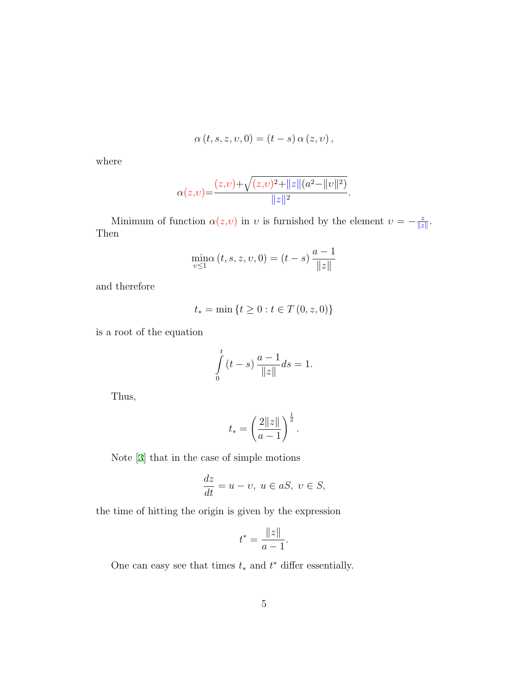$$
\alpha(t,s,z,v,0)=(t-s)\,\alpha(z,v)\,,
$$

where

$$
\alpha(z,v) = \frac{(z,v) + \sqrt{(z,v)^2 + ||z|| (a^2 - ||v||^2)}}{||z||^2}.
$$

Minimum of function  $\alpha(z,v)$  in v is furnished by the element  $v = -\frac{z}{\|z\|}$ . Then

$$
\min_{v \le 1} (t, s, z, v, 0) = (t - s) \frac{a - 1}{\|z\|}
$$

and therefore

$$
t_* = \min\left\{t \ge 0 : t \in T(0, z, 0)\right\}
$$

is a root of the equation

$$
\int_{0}^{t} (t - s) \frac{a - 1}{\|z\|} ds = 1.
$$

Thus,

$$
t_* = \left(\frac{2\|z\|}{a-1}\right)^{\frac{1}{2}}.
$$

Note[[3\]](#page-5-2) that in the case of simple motions

$$
\frac{dz}{dt} = u - v, \ u \in aS, \ v \in S,
$$

the time of hitting the origin is given by the expression

$$
t^* = \frac{\|z\|}{a-1}.
$$

One can easy see that times  $t_*$  and  $t^*$  differ essentially.